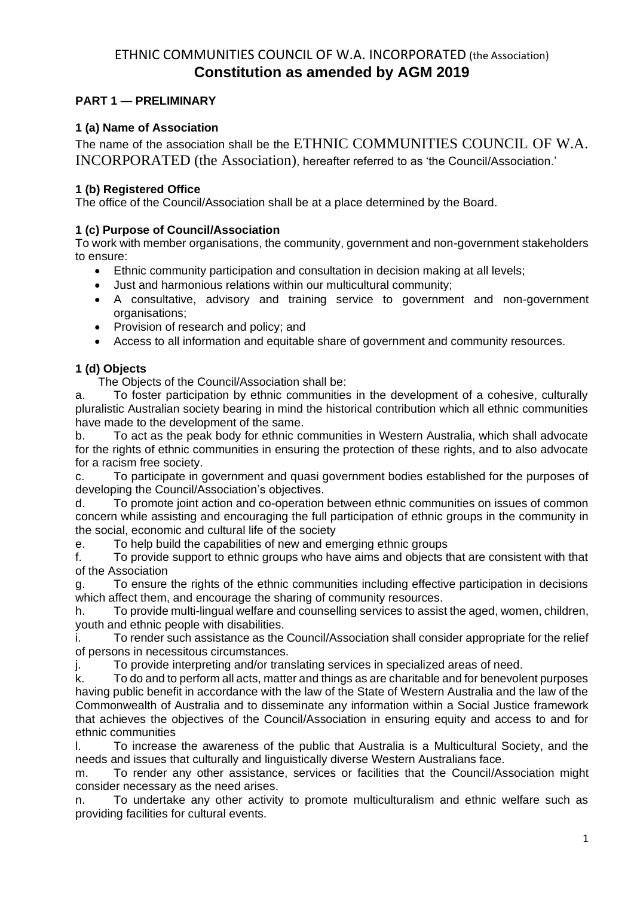# ETHNIC COMMUNITIES COUNCIL OF W.A. INCORPORATED (the Association) **Constitution as amended by AGM 2019**

# **PART 1 — PRELIMINARY**

# **1 (a) Name of Association**

The name of the association shall be the ETHNIC COMMUNITIES COUNCIL OF W.A. INCORPORATED (the Association), hereafter referred to as 'the Council/Association.'

## **1 (b) Registered Office**

The office of the Council/Association shall be at a place determined by the Board.

## **1 (c) Purpose of Council/Association**

To work with member organisations, the community, government and non-government stakeholders to ensure:

- Ethnic community participation and consultation in decision making at all levels;
- Just and harmonious relations within our multicultural community;
- A consultative, advisory and training service to government and non-government organisations;
- Provision of research and policy; and
- Access to all information and equitable share of government and community resources.

# **1 (d) Objects**

The Objects of the Council/Association shall be:

a. To foster participation by ethnic communities in the development of a cohesive, culturally pluralistic Australian society bearing in mind the historical contribution which all ethnic communities have made to the development of the same.

b. To act as the peak body for ethnic communities in Western Australia, which shall advocate for the rights of ethnic communities in ensuring the protection of these rights, and to also advocate for a racism free society.

c. To participate in government and quasi government bodies established for the purposes of developing the Council/Association's objectives.

d. To promote joint action and co-operation between ethnic communities on issues of common concern while assisting and encouraging the full participation of ethnic groups in the community in the social, economic and cultural life of the society

e. To help build the capabilities of new and emerging ethnic groups

f. To provide support to ethnic groups who have aims and objects that are consistent with that of the Association

g. To ensure the rights of the ethnic communities including effective participation in decisions which affect them, and encourage the sharing of community resources.

h. To provide multi-lingual welfare and counselling services to assist the aged, women, children, youth and ethnic people with disabilities.

i. To render such assistance as the Council/Association shall consider appropriate for the relief of persons in necessitous circumstances.

j. To provide interpreting and/or translating services in specialized areas of need.

k. To do and to perform all acts, matter and things as are charitable and for benevolent purposes having public benefit in accordance with the law of the State of Western Australia and the law of the Commonwealth of Australia and to disseminate any information within a Social Justice framework that achieves the objectives of the Council/Association in ensuring equity and access to and for ethnic communities

l. To increase the awareness of the public that Australia is a Multicultural Society, and the needs and issues that culturally and linguistically diverse Western Australians face.

m. To render any other assistance, services or facilities that the Council/Association might consider necessary as the need arises.

n. To undertake any other activity to promote multiculturalism and ethnic welfare such as providing facilities for cultural events.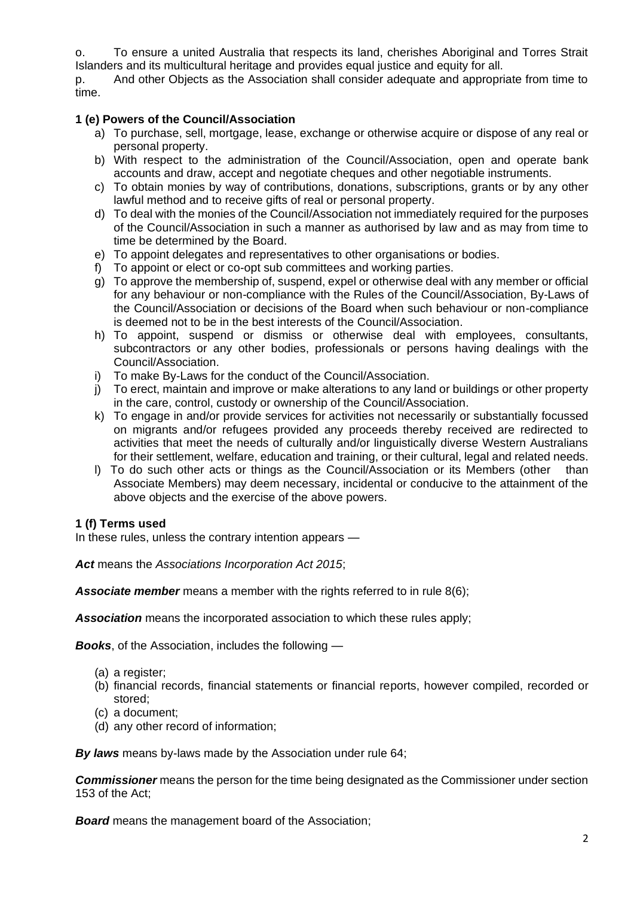o. To ensure a united Australia that respects its land, cherishes Aboriginal and Torres Strait Islanders and its multicultural heritage and provides equal justice and equity for all.

p. And other Objects as the Association shall consider adequate and appropriate from time to time.

### **1 (e) Powers of the Council/Association**

- a) To purchase, sell, mortgage, lease, exchange or otherwise acquire or dispose of any real or personal property.
- b) With respect to the administration of the Council/Association, open and operate bank accounts and draw, accept and negotiate cheques and other negotiable instruments.
- c) To obtain monies by way of contributions, donations, subscriptions, grants or by any other lawful method and to receive gifts of real or personal property.
- d) To deal with the monies of the Council/Association not immediately required for the purposes of the Council/Association in such a manner as authorised by law and as may from time to time be determined by the Board.
- e) To appoint delegates and representatives to other organisations or bodies.
- f) To appoint or elect or co-opt sub committees and working parties.
- g) To approve the membership of, suspend, expel or otherwise deal with any member or official for any behaviour or non-compliance with the Rules of the Council/Association, By-Laws of the Council/Association or decisions of the Board when such behaviour or non-compliance is deemed not to be in the best interests of the Council/Association.
- h) To appoint, suspend or dismiss or otherwise deal with employees, consultants, subcontractors or any other bodies, professionals or persons having dealings with the Council/Association.
- i) To make By-Laws for the conduct of the Council/Association.
- j) To erect, maintain and improve or make alterations to any land or buildings or other property in the care, control, custody or ownership of the Council/Association.
- k) To engage in and/or provide services for activities not necessarily or substantially focussed on migrants and/or refugees provided any proceeds thereby received are redirected to activities that meet the needs of culturally and/or linguistically diverse Western Australians for their settlement, welfare, education and training, or their cultural, legal and related needs.
- l) To do such other acts or things as the Council/Association or its Members (other than Associate Members) may deem necessary, incidental or conducive to the attainment of the above objects and the exercise of the above powers.

### **1 (f) Terms used**

In these rules, unless the contrary intention appears —

*Act* means the *Associations Incorporation Act 2015*;

*Associate member* means a member with the rights referred to in rule 8(6);

*Association* means the incorporated association to which these rules apply;

*Books*, of the Association, includes the following —

- (a) a register;
- (b) financial records, financial statements or financial reports, however compiled, recorded or stored;
- (c) a document;
- (d) any other record of information;

*By laws* means by-laws made by the Association under rule 64;

*Commissioner* means the person for the time being designated as the Commissioner under section 153 of the Act;

*Board* means the management board of the Association;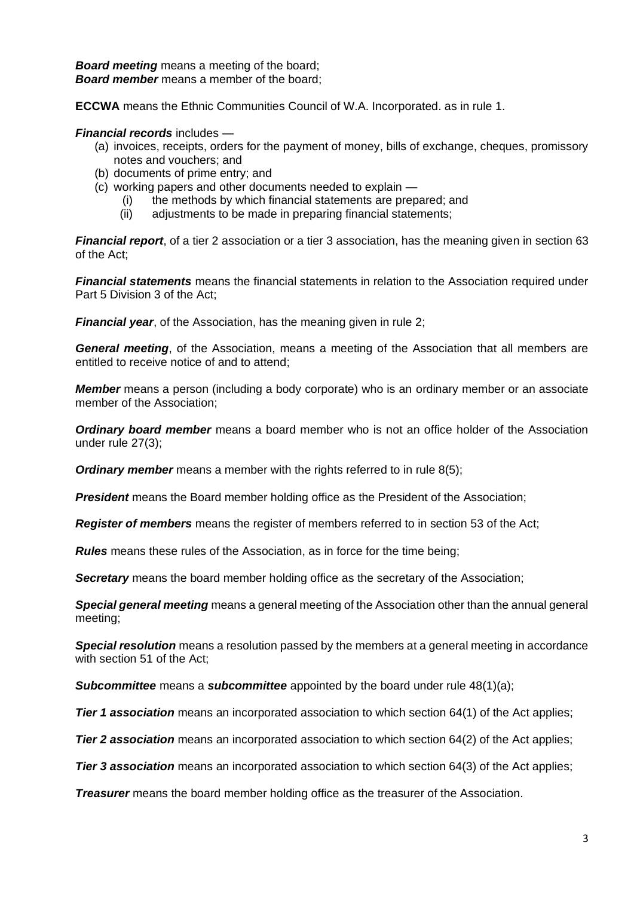*Board meeting* means a meeting of the board; *Board member* means a member of the board;

**ECCWA** means the Ethnic Communities Council of W.A. Incorporated. as in rule 1.

#### *Financial records* includes —

- (a) invoices, receipts, orders for the payment of money, bills of exchange, cheques, promissory notes and vouchers; and
- (b) documents of prime entry; and
- (c) working papers and other documents needed to explain
	- (i) the methods by which financial statements are prepared; and
	- (ii) adjustments to be made in preparing financial statements;

*Financial report*, of a tier 2 association or a tier 3 association, has the meaning given in section 63 of the Act;

*Financial statements* means the financial statements in relation to the Association required under Part 5 Division 3 of the Act;

**Financial year**, of the Association, has the meaning given in rule 2;

*General meeting*, of the Association, means a meeting of the Association that all members are entitled to receive notice of and to attend;

*Member* means a person (including a body corporate) who is an ordinary member or an associate member of the Association;

*Ordinary board member* means a board member who is not an office holder of the Association under rule 27(3);

**Ordinary member** means a member with the rights referred to in rule 8(5);

*President* means the Board member holding office as the President of the Association;

*Register of members* means the register of members referred to in section 53 of the Act;

*Rules* means these rules of the Association, as in force for the time being;

*Secretary* means the board member holding office as the secretary of the Association;

*Special general meeting* means a general meeting of the Association other than the annual general meeting;

*Special resolution* means a resolution passed by the members at a general meeting in accordance with section 51 of the Act;

*Subcommittee* means a *subcommittee* appointed by the board under rule 48(1)(a);

**Tier 1 association** means an incorporated association to which section 64(1) of the Act applies;

**Tier 2 association** means an incorporated association to which section 64(2) of the Act applies;

**Tier 3 association** means an incorporated association to which section 64(3) of the Act applies;

*Treasurer* means the board member holding office as the treasurer of the Association.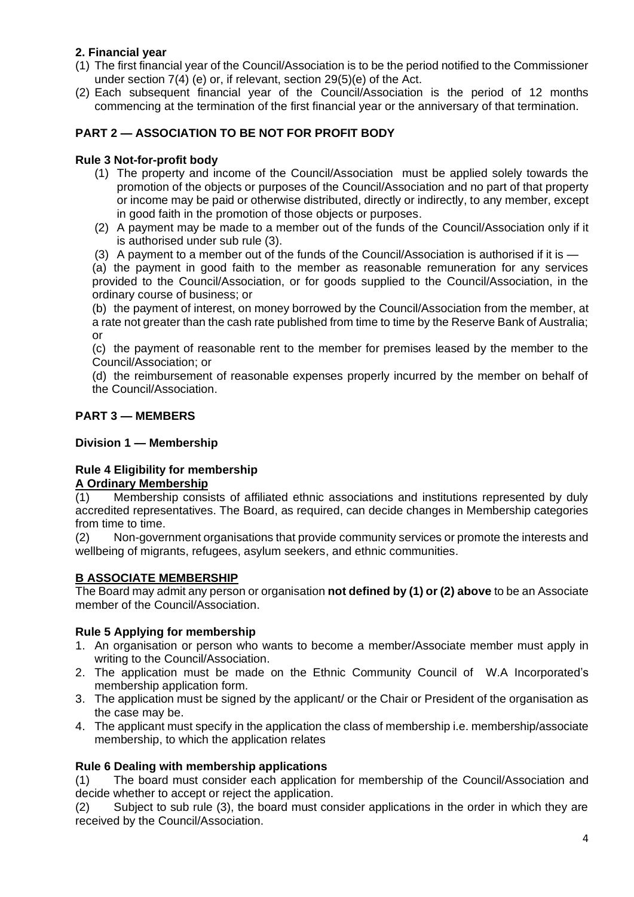# **2. Financial year**

- (1) The first financial year of the Council/Association is to be the period notified to the Commissioner under section 7(4) (e) or, if relevant, section 29(5)(e) of the Act.
- (2) Each subsequent financial year of the Council/Association is the period of 12 months commencing at the termination of the first financial year or the anniversary of that termination.

# **PART 2 — ASSOCIATION TO BE NOT FOR PROFIT BODY**

### **Rule 3 Not-for-profit body**

- (1) The property and income of the Council/Association must be applied solely towards the promotion of the objects or purposes of the Council/Association and no part of that property or income may be paid or otherwise distributed, directly or indirectly, to any member, except in good faith in the promotion of those objects or purposes.
- (2) A payment may be made to a member out of the funds of the Council/Association only if it is authorised under sub rule (3).
- (3) A payment to a member out of the funds of the Council/Association is authorised if it is —

(a) the payment in good faith to the member as reasonable remuneration for any services provided to the Council/Association, or for goods supplied to the Council/Association, in the ordinary course of business; or

(b) the payment of interest, on money borrowed by the Council/Association from the member, at a rate not greater than the cash rate published from time to time by the Reserve Bank of Australia; or

(c) the payment of reasonable rent to the member for premises leased by the member to the Council/Association; or

(d) the reimbursement of reasonable expenses properly incurred by the member on behalf of the Council/Association.

## **PART 3 — MEMBERS**

#### **Division 1 — Membership**

# **Rule 4 Eligibility for membership**

### **A Ordinary Membership**

(1) Membership consists of affiliated ethnic associations and institutions represented by duly accredited representatives. The Board, as required, can decide changes in Membership categories from time to time.

(2) Non-government organisations that provide community services or promote the interests and wellbeing of migrants, refugees, asylum seekers, and ethnic communities.

### **B ASSOCIATE MEMBERSHIP**

The Board may admit any person or organisation **not defined by (1) or (2) above** to be an Associate member of the Council/Association.

### **Rule 5 Applying for membership**

- 1. An organisation or person who wants to become a member/Associate member must apply in writing to the Council/Association.
- 2. The application must be made on the Ethnic Community Council of W.A Incorporated's membership application form.
- 3. The application must be signed by the applicant/ or the Chair or President of the organisation as the case may be.
- 4. The applicant must specify in the application the class of membership i.e. membership/associate membership, to which the application relates

#### **Rule 6 Dealing with membership applications**

(1) The board must consider each application for membership of the Council/Association and decide whether to accept or reject the application.

(2) Subject to sub rule (3), the board must consider applications in the order in which they are received by the Council/Association.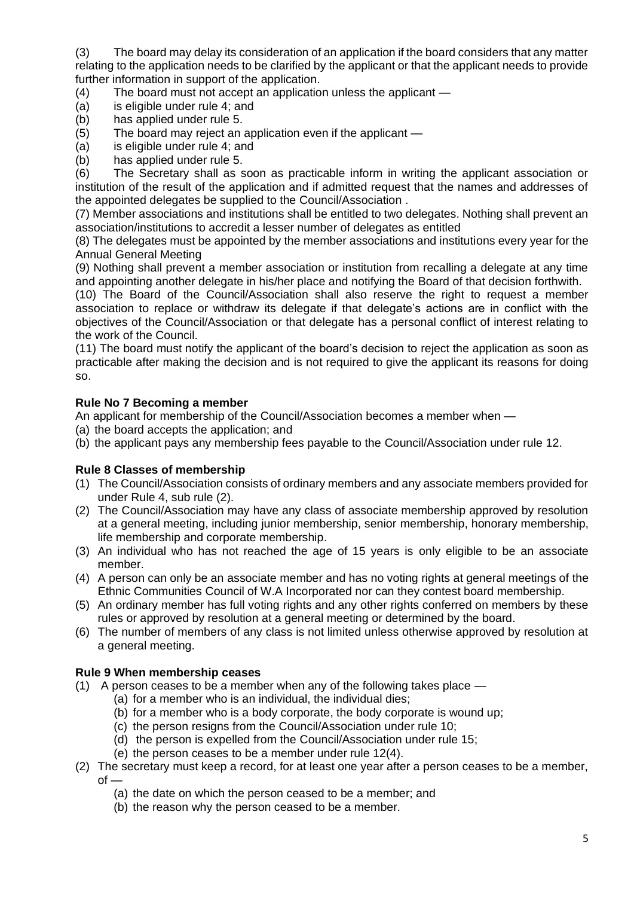(3) The board may delay its consideration of an application if the board considers that any matter relating to the application needs to be clarified by the applicant or that the applicant needs to provide further information in support of the application.

- (4) The board must not accept an application unless the applicant —
- (a) is eligible under rule 4; and
- (b) has applied under rule 5.
- (5) The board may reject an application even if the applicant —
- (a) is eligible under rule 4; and
- (b) has applied under rule 5.

(6) The Secretary shall as soon as practicable inform in writing the applicant association or institution of the result of the application and if admitted request that the names and addresses of the appointed delegates be supplied to the Council/Association .

(7) Member associations and institutions shall be entitled to two delegates. Nothing shall prevent an association/institutions to accredit a lesser number of delegates as entitled

(8) The delegates must be appointed by the member associations and institutions every year for the Annual General Meeting

(9) Nothing shall prevent a member association or institution from recalling a delegate at any time and appointing another delegate in his/her place and notifying the Board of that decision forthwith.

(10) The Board of the Council/Association shall also reserve the right to request a member association to replace or withdraw its delegate if that delegate's actions are in conflict with the objectives of the Council/Association or that delegate has a personal conflict of interest relating to the work of the Council.

(11) The board must notify the applicant of the board's decision to reject the application as soon as practicable after making the decision and is not required to give the applicant its reasons for doing so.

## **Rule No 7 Becoming a member**

An applicant for membership of the Council/Association becomes a member when —

- (a) the board accepts the application; and
- (b) the applicant pays any membership fees payable to the Council/Association under rule 12.

### **Rule 8 Classes of membership**

- (1) The Council/Association consists of ordinary members and any associate members provided for under Rule 4, sub rule (2).
- (2) The Council/Association may have any class of associate membership approved by resolution at a general meeting, including junior membership, senior membership, honorary membership, life membership and corporate membership.
- (3) An individual who has not reached the age of 15 years is only eligible to be an associate member.
- (4) A person can only be an associate member and has no voting rights at general meetings of the Ethnic Communities Council of W.A Incorporated nor can they contest board membership.
- (5) An ordinary member has full voting rights and any other rights conferred on members by these rules or approved by resolution at a general meeting or determined by the board.
- (6) The number of members of any class is not limited unless otherwise approved by resolution at a general meeting.

### **Rule 9 When membership ceases**

- (1) A person ceases to be a member when any of the following takes place
	- (a) for a member who is an individual, the individual dies;
		- (b) for a member who is a body corporate, the body corporate is wound up;
		- (c) the person resigns from the Council/Association under rule 10;
	- (d) the person is expelled from the Council/Association under rule 15;
	- (e) the person ceases to be a member under rule 12(4).
- (2) The secretary must keep a record, for at least one year after a person ceases to be a member,  $of -$ 
	- (a) the date on which the person ceased to be a member; and
	- (b) the reason why the person ceased to be a member.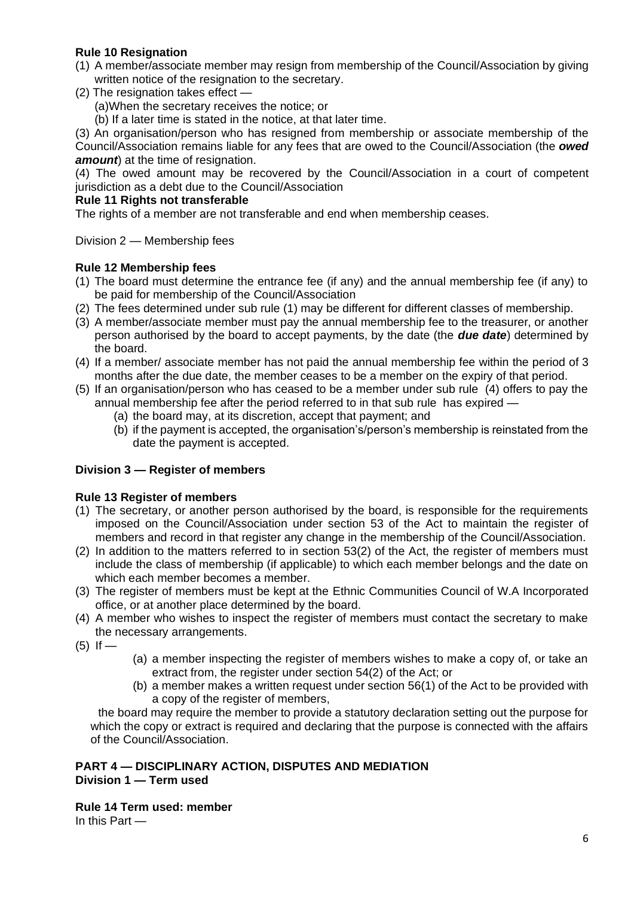# **Rule 10 Resignation**

- (1) A member/associate member may resign from membership of the Council/Association by giving written notice of the resignation to the secretary.
- (2) The resignation takes effect —

(a)When the secretary receives the notice; or

(b) If a later time is stated in the notice, at that later time.

(3) An organisation/person who has resigned from membership or associate membership of the Council/Association remains liable for any fees that are owed to the Council/Association (the *owed*  **amount**) at the time of resignation.

(4) The owed amount may be recovered by the Council/Association in a court of competent jurisdiction as a debt due to the Council/Association

#### **Rule 11 Rights not transferable**

The rights of a member are not transferable and end when membership ceases.

Division 2 — Membership fees

### **Rule 12 Membership fees**

- (1) The board must determine the entrance fee (if any) and the annual membership fee (if any) to be paid for membership of the Council/Association
- (2) The fees determined under sub rule (1) may be different for different classes of membership.
- (3) A member/associate member must pay the annual membership fee to the treasurer, or another person authorised by the board to accept payments, by the date (the *due date*) determined by the board.
- (4) If a member/ associate member has not paid the annual membership fee within the period of 3 months after the due date, the member ceases to be a member on the expiry of that period.
- (5) If an organisation/person who has ceased to be a member under sub rule (4) offers to pay the annual membership fee after the period referred to in that sub rule has expired —
	- (a) the board may, at its discretion, accept that payment; and
	- (b) if the payment is accepted, the organisation's/person's membership is reinstated from the date the payment is accepted.

### **Division 3 — Register of members**

### **Rule 13 Register of members**

- (1) The secretary, or another person authorised by the board, is responsible for the requirements imposed on the Council/Association under section 53 of the Act to maintain the register of members and record in that register any change in the membership of the Council/Association.
- (2) In addition to the matters referred to in section 53(2) of the Act, the register of members must include the class of membership (if applicable) to which each member belongs and the date on which each member becomes a member.
- (3) The register of members must be kept at the Ethnic Communities Council of W.A Incorporated office, or at another place determined by the board.
- (4) A member who wishes to inspect the register of members must contact the secretary to make the necessary arrangements.
- $(5)$  If —
- (a) a member inspecting the register of members wishes to make a copy of, or take an extract from, the register under section 54(2) of the Act; or
- (b) a member makes a written request under section 56(1) of the Act to be provided with a copy of the register of members,

the board may require the member to provide a statutory declaration setting out the purpose for which the copy or extract is required and declaring that the purpose is connected with the affairs of the Council/Association.

### **PART 4 — DISCIPLINARY ACTION, DISPUTES AND MEDIATION Division 1 — Term used**

**Rule 14 Term used: member**

In this Part —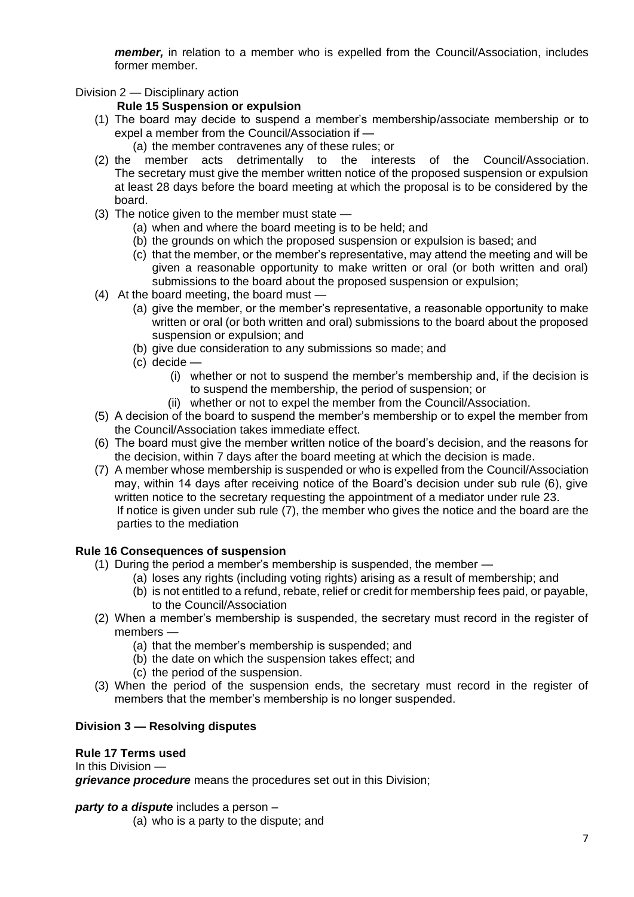*member*, in relation to a member who is expelled from the Council/Association, includes former member.

Division 2 — Disciplinary action

### **Rule 15 Suspension or expulsion**

- (1) The board may decide to suspend a member's membership/associate membership or to expel a member from the Council/Association if —
	- (a) the member contravenes any of these rules; or
- (2) the member acts detrimentally to the interests of the Council/Association. The secretary must give the member written notice of the proposed suspension or expulsion at least 28 days before the board meeting at which the proposal is to be considered by the board.
- (3) The notice given to the member must state
	- (a) when and where the board meeting is to be held; and
	- (b) the grounds on which the proposed suspension or expulsion is based; and
	- (c) that the member, or the member's representative, may attend the meeting and will be given a reasonable opportunity to make written or oral (or both written and oral) submissions to the board about the proposed suspension or expulsion;
- (4) At the board meeting, the board must
	- (a) give the member, or the member's representative, a reasonable opportunity to make written or oral (or both written and oral) submissions to the board about the proposed suspension or expulsion; and
	- (b) give due consideration to any submissions so made; and
	- (c) decide
		- (i) whether or not to suspend the member's membership and, if the decision is to suspend the membership, the period of suspension; or
		- (ii) whether or not to expel the member from the Council/Association.
- (5) A decision of the board to suspend the member's membership or to expel the member from the Council/Association takes immediate effect.
- (6) The board must give the member written notice of the board's decision, and the reasons for the decision, within 7 days after the board meeting at which the decision is made.
- (7) A member whose membership is suspended or who is expelled from the Council/Association may, within 14 days after receiving notice of the Board's decision under sub rule (6), give written notice to the secretary requesting the appointment of a mediator under rule 23. If notice is given under sub rule (7), the member who gives the notice and the board are the parties to the mediation

# **Rule 16 Consequences of suspension**

- (1) During the period a member's membership is suspended, the member
	- (a) loses any rights (including voting rights) arising as a result of membership; and
	- (b) is not entitled to a refund, rebate, relief or credit for membership fees paid, or payable, to the Council/Association
- (2) When a member's membership is suspended, the secretary must record in the register of members —
	- (a) that the member's membership is suspended; and
	- (b) the date on which the suspension takes effect; and
	- (c) the period of the suspension.
- (3) When the period of the suspension ends, the secretary must record in the register of members that the member's membership is no longer suspended.

# **Division 3 — Resolving disputes**

### **Rule 17 Terms used**

In this Division —

*grievance procedure* means the procedures set out in this Division;

*party to a dispute* includes a person –

(a) who is a party to the dispute; and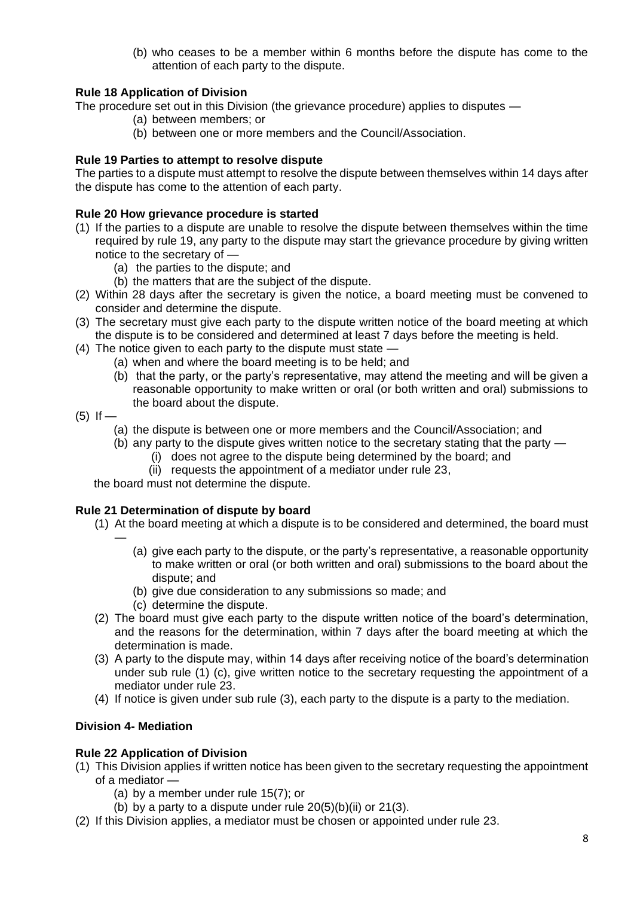(b) who ceases to be a member within 6 months before the dispute has come to the attention of each party to the dispute.

### **Rule 18 Application of Division**

The procedure set out in this Division (the grievance procedure) applies to disputes —

- (a) between members; or
	- (b) between one or more members and the Council/Association.

## **Rule 19 Parties to attempt to resolve dispute**

The parties to a dispute must attempt to resolve the dispute between themselves within 14 days after the dispute has come to the attention of each party.

## **Rule 20 How grievance procedure is started**

- (1) If the parties to a dispute are unable to resolve the dispute between themselves within the time required by rule 19, any party to the dispute may start the grievance procedure by giving written notice to the secretary of —
	- (a) the parties to the dispute; and
	- (b) the matters that are the subject of the dispute.
- (2) Within 28 days after the secretary is given the notice, a board meeting must be convened to consider and determine the dispute.
- (3) The secretary must give each party to the dispute written notice of the board meeting at which the dispute is to be considered and determined at least 7 days before the meeting is held.
- (4) The notice given to each party to the dispute must state
	- (a) when and where the board meeting is to be held; and
	- (b) that the party, or the party's representative, may attend the meeting and will be given a reasonable opportunity to make written or oral (or both written and oral) submissions to the board about the dispute.
- $(5)$  If  $-$

—

- (a) the dispute is between one or more members and the Council/Association; and
- (b) any party to the dispute gives written notice to the secretary stating that the party
	- (i) does not agree to the dispute being determined by the board; and
	- (ii) requests the appointment of a mediator under rule 23,

the board must not determine the dispute.

### **Rule 21 Determination of dispute by board**

- (1) At the board meeting at which a dispute is to be considered and determined, the board must
	- (a) give each party to the dispute, or the party's representative, a reasonable opportunity to make written or oral (or both written and oral) submissions to the board about the dispute; and
	- (b) give due consideration to any submissions so made; and
	- (c) determine the dispute.
- (2) The board must give each party to the dispute written notice of the board's determination, and the reasons for the determination, within 7 days after the board meeting at which the determination is made.
- (3) A party to the dispute may, within 14 days after receiving notice of the board's determination under sub rule (1) (c), give written notice to the secretary requesting the appointment of a mediator under rule 23.
- (4) If notice is given under sub rule (3), each party to the dispute is a party to the mediation.

# **Division 4- Mediation**

### **Rule 22 Application of Division**

- (1) This Division applies if written notice has been given to the secretary requesting the appointment of a mediator —
	- (a) by a member under rule 15(7); or
	- (b) by a party to a dispute under rule  $20(5)(b)(ii)$  or  $21(3)$ .
- (2) If this Division applies, a mediator must be chosen or appointed under rule 23.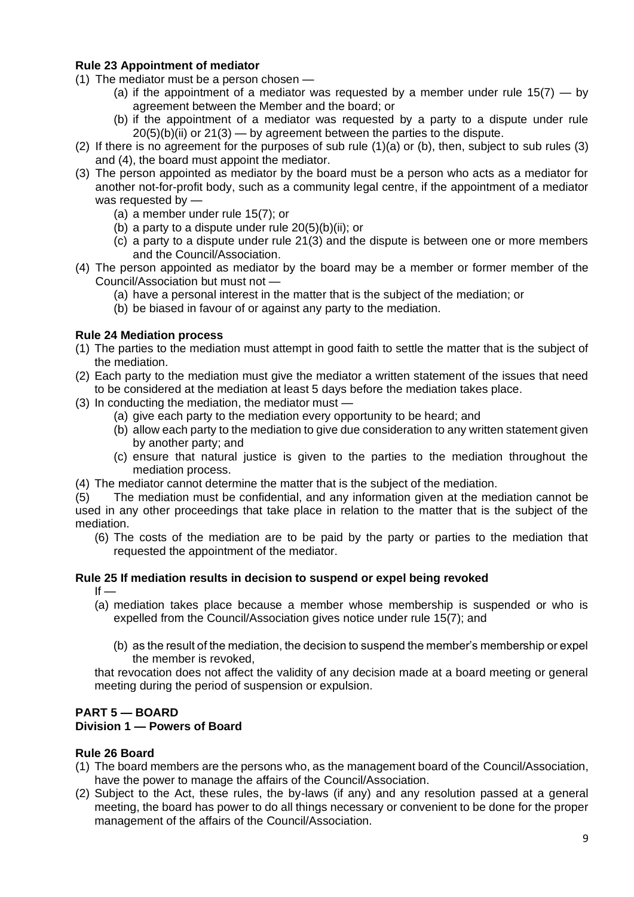## **Rule 23 Appointment of mediator**

- (1) The mediator must be a person chosen
	- (a) if the appointment of a mediator was requested by a member under rule  $15(7) 6y$ agreement between the Member and the board; or
	- (b) if the appointment of a mediator was requested by a party to a dispute under rule  $20(5)(b)(ii)$  or  $21(3)$  — by agreement between the parties to the dispute.
- (2) If there is no agreement for the purposes of sub rule (1)(a) or (b), then, subject to sub rules (3) and (4), the board must appoint the mediator.
- (3) The person appointed as mediator by the board must be a person who acts as a mediator for another not-for-profit body, such as a community legal centre, if the appointment of a mediator was requested by —
	- (a) a member under rule 15(7); or
	- (b) a party to a dispute under rule 20(5)(b)(ii); or
	- (c) a party to a dispute under rule 21(3) and the dispute is between one or more members and the Council/Association.
- (4) The person appointed as mediator by the board may be a member or former member of the Council/Association but must not —
	- (a) have a personal interest in the matter that is the subject of the mediation; or
	- (b) be biased in favour of or against any party to the mediation.

#### **Rule 24 Mediation process**

- (1) The parties to the mediation must attempt in good faith to settle the matter that is the subject of the mediation.
- (2) Each party to the mediation must give the mediator a written statement of the issues that need to be considered at the mediation at least 5 days before the mediation takes place.
- (3) In conducting the mediation, the mediator must
	- (a) give each party to the mediation every opportunity to be heard; and
	- (b) allow each party to the mediation to give due consideration to any written statement given by another party; and
	- (c) ensure that natural justice is given to the parties to the mediation throughout the mediation process.
- (4) The mediator cannot determine the matter that is the subject of the mediation.

(5) The mediation must be confidential, and any information given at the mediation cannot be used in any other proceedings that take place in relation to the matter that is the subject of the mediation.

(6) The costs of the mediation are to be paid by the party or parties to the mediation that requested the appointment of the mediator.

## **Rule 25 If mediation results in decision to suspend or expel being revoked**

- $If -$ 
	- (a) mediation takes place because a member whose membership is suspended or who is expelled from the Council/Association gives notice under rule 15(7); and
		- (b) as the result of the mediation, the decision to suspend the member's membership or expel the member is revoked,

that revocation does not affect the validity of any decision made at a board meeting or general meeting during the period of suspension or expulsion.

### **PART 5 — BOARD**

#### **Division 1 — Powers of Board**

### **Rule 26 Board**

- (1) The board members are the persons who, as the management board of the Council/Association, have the power to manage the affairs of the Council/Association.
- (2) Subject to the Act, these rules, the by-laws (if any) and any resolution passed at a general meeting, the board has power to do all things necessary or convenient to be done for the proper management of the affairs of the Council/Association.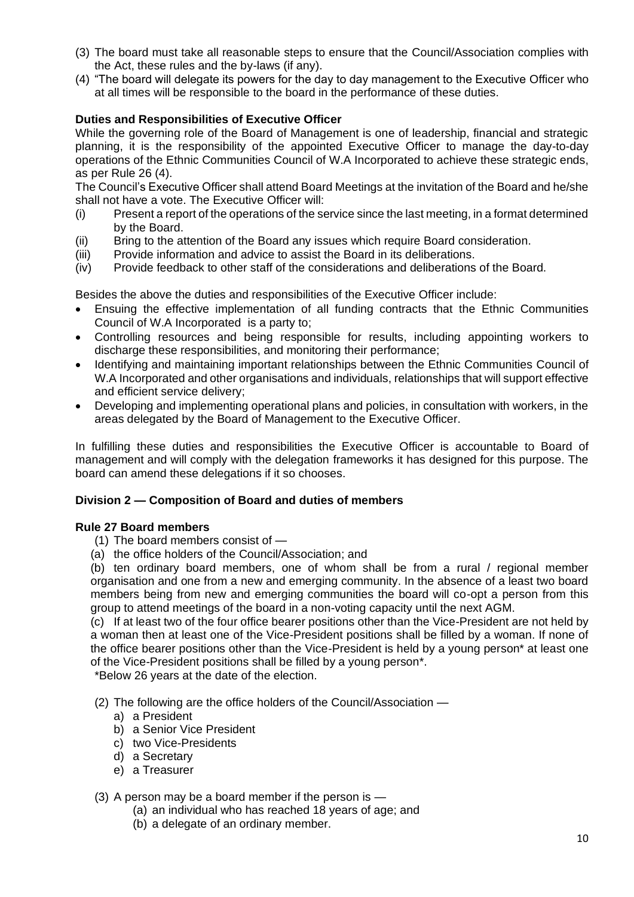- (3) The board must take all reasonable steps to ensure that the Council/Association complies with the Act, these rules and the by-laws (if any).
- (4) "The board will delegate its powers for the day to day management to the Executive Officer who at all times will be responsible to the board in the performance of these duties.

## **Duties and Responsibilities of Executive Officer**

While the governing role of the Board of Management is one of leadership, financial and strategic planning, it is the responsibility of the appointed Executive Officer to manage the day-to-day operations of the Ethnic Communities Council of W.A Incorporated to achieve these strategic ends, as per Rule 26 (4).

The Council's Executive Officer shall attend Board Meetings at the invitation of the Board and he/she shall not have a vote. The Executive Officer will:

- (i) Present a report of the operations of the service since the last meeting, in a format determined by the Board.
- (ii) Bring to the attention of the Board any issues which require Board consideration.
- (iii) Provide information and advice to assist the Board in its deliberations.
- (iv) Provide feedback to other staff of the considerations and deliberations of the Board.

Besides the above the duties and responsibilities of the Executive Officer include:

- Ensuing the effective implementation of all funding contracts that the Ethnic Communities Council of W.A Incorporated is a party to;
- Controlling resources and being responsible for results, including appointing workers to discharge these responsibilities, and monitoring their performance;
- Identifying and maintaining important relationships between the Ethnic Communities Council of W.A Incorporated and other organisations and individuals, relationships that will support effective and efficient service delivery;
- Developing and implementing operational plans and policies, in consultation with workers, in the areas delegated by the Board of Management to the Executive Officer.

In fulfilling these duties and responsibilities the Executive Officer is accountable to Board of management and will comply with the delegation frameworks it has designed for this purpose. The board can amend these delegations if it so chooses.

### **Division 2 — Composition of Board and duties of members**

### **Rule 27 Board members**

- (1) The board members consist of —
- (a) the office holders of the Council/Association; and

(b) ten ordinary board members, one of whom shall be from a rural / regional member organisation and one from a new and emerging community. In the absence of a least two board members being from new and emerging communities the board will co-opt a person from this group to attend meetings of the board in a non-voting capacity until the next AGM.

(c) If at least two of the four office bearer positions other than the Vice-President are not held by a woman then at least one of the Vice-President positions shall be filled by a woman. If none of the office bearer positions other than the Vice-President is held by a young person\* at least one of the Vice-President positions shall be filled by a young person\*.

\*Below 26 years at the date of the election.

- (2) The following are the office holders of the Council/Association
	- a) a President
	- b) a Senior Vice President
	- c) two Vice-Presidents
	- d) a Secretary
	- e) a Treasurer

#### (3) A person may be a board member if the person is —

- (a) an individual who has reached 18 years of age; and
- (b) a delegate of an ordinary member.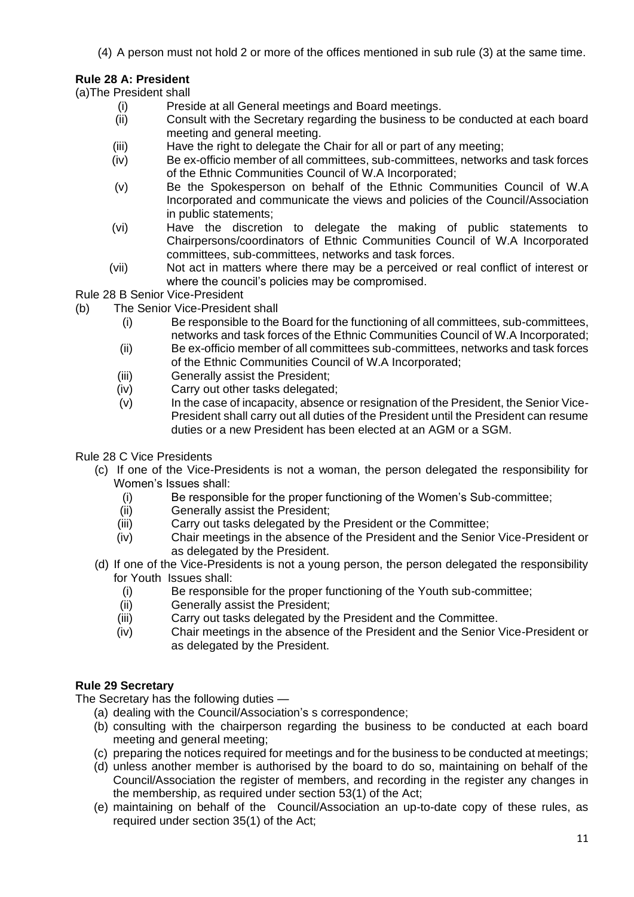(4) A person must not hold 2 or more of the offices mentioned in sub rule (3) at the same time.

# **Rule 28 A: President**

(a)The President shall

- (i) Preside at all General meetings and Board meetings.
- (ii) Consult with the Secretary regarding the business to be conducted at each board meeting and general meeting.
- (iii) Have the right to delegate the Chair for all or part of any meeting;
- (iv) Be ex-officio member of all committees, sub-committees, networks and task forces of the Ethnic Communities Council of W.A Incorporated;
- (v) Be the Spokesperson on behalf of the Ethnic Communities Council of W.A Incorporated and communicate the views and policies of the Council/Association in public statements;
- (vi) Have the discretion to delegate the making of public statements to Chairpersons/coordinators of Ethnic Communities Council of W.A Incorporated committees, sub-committees, networks and task forces.
- (vii) Not act in matters where there may be a perceived or real conflict of interest or where the council's policies may be compromised.
- Rule 28 B Senior Vice-President
- (b) The Senior Vice-President shall
	- (i) Be responsible to the Board for the functioning of all committees, sub-committees, networks and task forces of the Ethnic Communities Council of W.A Incorporated;
	- (ii) Be ex-officio member of all committees sub-committees, networks and task forces of the Ethnic Communities Council of W.A Incorporated;
	- (iii) Generally assist the President;
	- (iv) Carry out other tasks delegated;
	- $(v)$  In the case of incapacity, absence or resignation of the President, the Senior Vice-President shall carry out all duties of the President until the President can resume duties or a new President has been elected at an AGM or a SGM.

### Rule 28 C Vice Presidents

- (c) If one of the Vice-Presidents is not a woman, the person delegated the responsibility for Women's Issues shall:
	- (i) Be responsible for the proper functioning of the Women's Sub-committee;
	- (ii) Generally assist the President;
	- (iii) Carry out tasks delegated by the President or the Committee;
	- (iv) Chair meetings in the absence of the President and the Senior Vice-President or as delegated by the President.
- (d) If one of the Vice-Presidents is not a young person, the person delegated the responsibility for Youth Issues shall:
	- (i) Be responsible for the proper functioning of the Youth sub-committee;
	- (ii) Generally assist the President;
	- (iii) Carry out tasks delegated by the President and the Committee.
	- (iv) Chair meetings in the absence of the President and the Senior Vice-President or as delegated by the President.

# **Rule 29 Secretary**

The Secretary has the following duties —

- (a) dealing with the Council/Association's s correspondence;
- (b) consulting with the chairperson regarding the business to be conducted at each board meeting and general meeting;
- (c) preparing the notices required for meetings and for the business to be conducted at meetings;
- (d) unless another member is authorised by the board to do so, maintaining on behalf of the Council/Association the register of members, and recording in the register any changes in the membership, as required under section 53(1) of the Act;
- (e) maintaining on behalf of the Council/Association an up-to-date copy of these rules, as required under section 35(1) of the Act;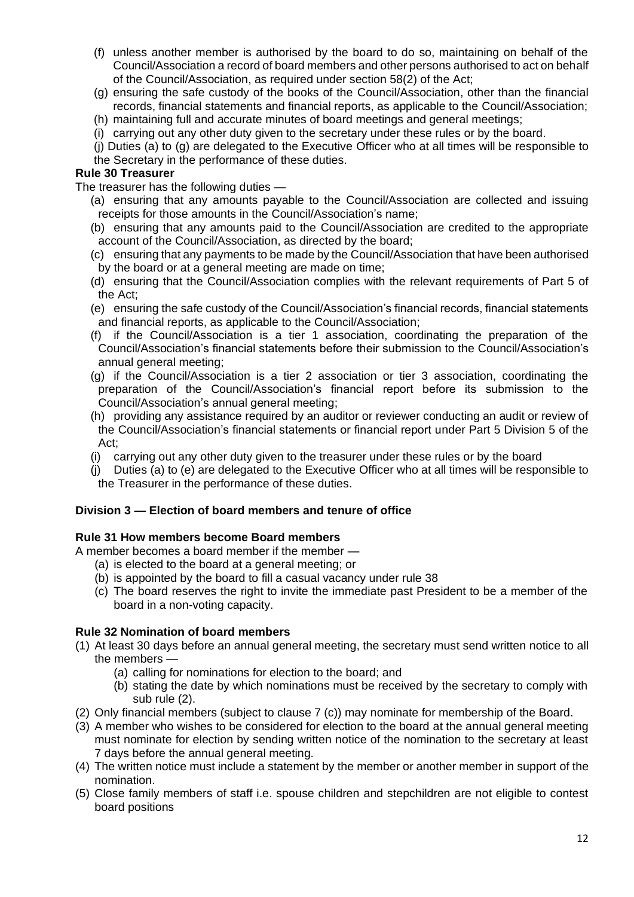- (f) unless another member is authorised by the board to do so, maintaining on behalf of the Council/Association a record of board members and other persons authorised to act on behalf of the Council/Association, as required under section 58(2) of the Act;
- (g) ensuring the safe custody of the books of the Council/Association, other than the financial records, financial statements and financial reports, as applicable to the Council/Association;
- (h) maintaining full and accurate minutes of board meetings and general meetings;
- (i) carrying out any other duty given to the secretary under these rules or by the board.
- (j) Duties (a) to (g) are delegated to the Executive Officer who at all times will be responsible to the Secretary in the performance of these duties.

#### **Rule 30 Treasurer**

The treasurer has the following duties —

- (a) ensuring that any amounts payable to the Council/Association are collected and issuing receipts for those amounts in the Council/Association's name;
- (b) ensuring that any amounts paid to the Council/Association are credited to the appropriate account of the Council/Association, as directed by the board;
- (c) ensuring that any payments to be made by the Council/Association that have been authorised by the board or at a general meeting are made on time;
- (d) ensuring that the Council/Association complies with the relevant requirements of Part 5 of the Act;
- (e) ensuring the safe custody of the Council/Association's financial records, financial statements and financial reports, as applicable to the Council/Association;
- (f) if the Council/Association is a tier 1 association, coordinating the preparation of the Council/Association's financial statements before their submission to the Council/Association's annual general meeting;
- (g) if the Council/Association is a tier 2 association or tier 3 association, coordinating the preparation of the Council/Association's financial report before its submission to the Council/Association's annual general meeting;
- (h) providing any assistance required by an auditor or reviewer conducting an audit or review of the Council/Association's financial statements or financial report under Part 5 Division 5 of the Act;
- (i) carrying out any other duty given to the treasurer under these rules or by the board
- (j) Duties (a) to (e) are delegated to the Executive Officer who at all times will be responsible to the Treasurer in the performance of these duties.

# **Division 3 — Election of board members and tenure of office**

### **Rule 31 How members become Board members**

A member becomes a board member if the member —

- (a) is elected to the board at a general meeting; or
- (b) is appointed by the board to fill a casual vacancy under rule 38
- (c) The board reserves the right to invite the immediate past President to be a member of the board in a non-voting capacity.

### **Rule 32 Nomination of board members**

- (1) At least 30 days before an annual general meeting, the secretary must send written notice to all the members —
	- (a) calling for nominations for election to the board; and
	- (b) stating the date by which nominations must be received by the secretary to comply with sub rule (2).
- (2) Only financial members (subject to clause 7 (c)) may nominate for membership of the Board.
- (3) A member who wishes to be considered for election to the board at the annual general meeting must nominate for election by sending written notice of the nomination to the secretary at least 7 days before the annual general meeting.
- (4) The written notice must include a statement by the member or another member in support of the nomination.
- (5) Close family members of staff i.e. spouse children and stepchildren are not eligible to contest board positions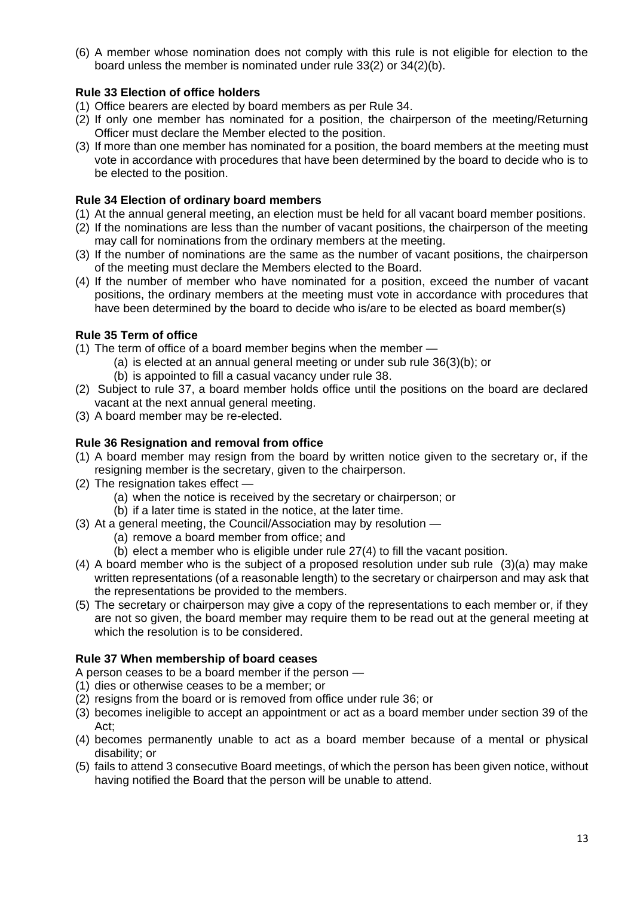(6) A member whose nomination does not comply with this rule is not eligible for election to the board unless the member is nominated under rule 33(2) or 34(2)(b).

## **Rule 33 Election of office holders**

- (1) Office bearers are elected by board members as per Rule 34.
- (2) If only one member has nominated for a position, the chairperson of the meeting/Returning Officer must declare the Member elected to the position.
- (3) If more than one member has nominated for a position, the board members at the meeting must vote in accordance with procedures that have been determined by the board to decide who is to be elected to the position.

## **Rule 34 Election of ordinary board members**

- (1) At the annual general meeting, an election must be held for all vacant board member positions.
- (2) If the nominations are less than the number of vacant positions, the chairperson of the meeting may call for nominations from the ordinary members at the meeting.
- (3) If the number of nominations are the same as the number of vacant positions, the chairperson of the meeting must declare the Members elected to the Board.
- (4) If the number of member who have nominated for a position, exceed the number of vacant positions, the ordinary members at the meeting must vote in accordance with procedures that have been determined by the board to decide who is/are to be elected as board member(s)

## **Rule 35 Term of office**

- (1) The term of office of a board member begins when the member
	- (a) is elected at an annual general meeting or under sub rule 36(3)(b); or (b) is appointed to fill a casual vacancy under rule 38.
- (2) Subject to rule 37, a board member holds office until the positions on the board are declared vacant at the next annual general meeting.
- (3) A board member may be re-elected.

## **Rule 36 Resignation and removal from office**

- (1) A board member may resign from the board by written notice given to the secretary or, if the resigning member is the secretary, given to the chairperson.
- (2) The resignation takes effect
	- (a) when the notice is received by the secretary or chairperson; or
	- (b) if a later time is stated in the notice, at the later time.
- (3) At a general meeting, the Council/Association may by resolution
	- (a) remove a board member from office; and
	- (b) elect a member who is eligible under rule 27(4) to fill the vacant position.
- (4) A board member who is the subject of a proposed resolution under sub rule (3)(a) may make written representations (of a reasonable length) to the secretary or chairperson and may ask that the representations be provided to the members.
- (5) The secretary or chairperson may give a copy of the representations to each member or, if they are not so given, the board member may require them to be read out at the general meeting at which the resolution is to be considered.

### **Rule 37 When membership of board ceases**

A person ceases to be a board member if the person —

- (1) dies or otherwise ceases to be a member; or
- (2) resigns from the board or is removed from office under rule 36; or
- (3) becomes ineligible to accept an appointment or act as a board member under section 39 of the Act;
- (4) becomes permanently unable to act as a board member because of a mental or physical disability; or
- (5) fails to attend 3 consecutive Board meetings, of which the person has been given notice, without having notified the Board that the person will be unable to attend.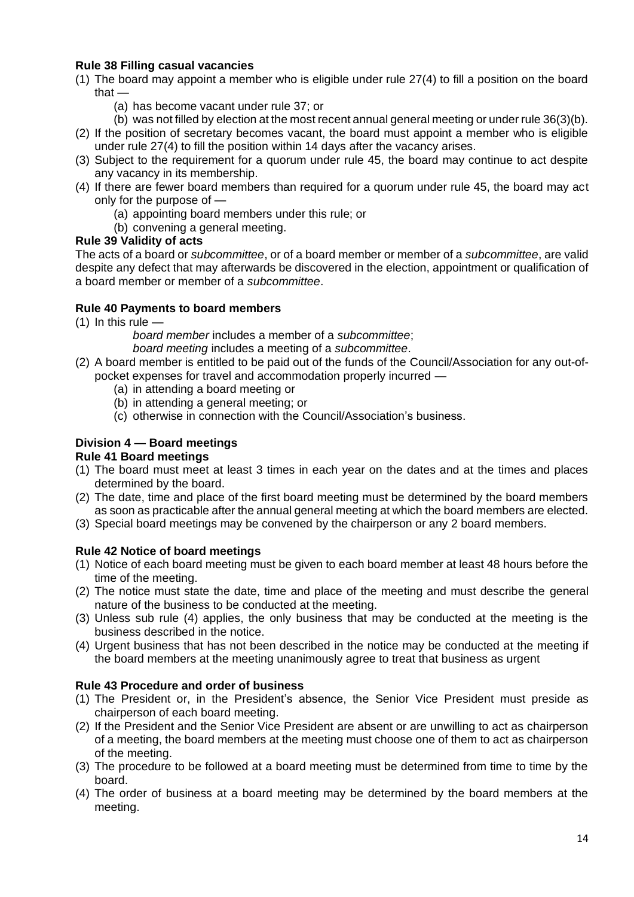### **Rule 38 Filling casual vacancies**

- (1) The board may appoint a member who is eligible under rule 27(4) to fill a position on the board that —
	- (a) has become vacant under rule 37; or
	- (b) was not filled by election at the most recent annual general meeting or under rule 36(3)(b).
- (2) If the position of secretary becomes vacant, the board must appoint a member who is eligible under rule 27(4) to fill the position within 14 days after the vacancy arises.
- (3) Subject to the requirement for a quorum under rule 45, the board may continue to act despite any vacancy in its membership.
- (4) If there are fewer board members than required for a quorum under rule 45, the board may act only for the purpose of —
	- (a) appointing board members under this rule; or
	- (b) convening a general meeting.

## **Rule 39 Validity of acts**

The acts of a board or *subcommittee*, or of a board member or member of a *subcommittee*, are valid despite any defect that may afterwards be discovered in the election, appointment or qualification of a board member or member of a *subcommittee*.

## **Rule 40 Payments to board members**

 $(1)$  In this rule  $-$ 

*board member* includes a member of a *subcommittee*;

*board meeting* includes a meeting of a *subcommittee*.

- (2) A board member is entitled to be paid out of the funds of the Council/Association for any out-ofpocket expenses for travel and accommodation properly incurred —
	- (a) in attending a board meeting or
	- (b) in attending a general meeting; or
	- (c) otherwise in connection with the Council/Association's business.

# **Division 4 — Board meetings**

# **Rule 41 Board meetings**

- (1) The board must meet at least 3 times in each year on the dates and at the times and places determined by the board.
- (2) The date, time and place of the first board meeting must be determined by the board members as soon as practicable after the annual general meeting at which the board members are elected.
- (3) Special board meetings may be convened by the chairperson or any 2 board members.

# **Rule 42 Notice of board meetings**

- (1) Notice of each board meeting must be given to each board member at least 48 hours before the time of the meeting.
- (2) The notice must state the date, time and place of the meeting and must describe the general nature of the business to be conducted at the meeting.
- (3) Unless sub rule (4) applies, the only business that may be conducted at the meeting is the business described in the notice.
- (4) Urgent business that has not been described in the notice may be conducted at the meeting if the board members at the meeting unanimously agree to treat that business as urgent

# **Rule 43 Procedure and order of business**

- (1) The President or, in the President's absence, the Senior Vice President must preside as chairperson of each board meeting.
- (2) If the President and the Senior Vice President are absent or are unwilling to act as chairperson of a meeting, the board members at the meeting must choose one of them to act as chairperson of the meeting.
- (3) The procedure to be followed at a board meeting must be determined from time to time by the board.
- (4) The order of business at a board meeting may be determined by the board members at the meeting.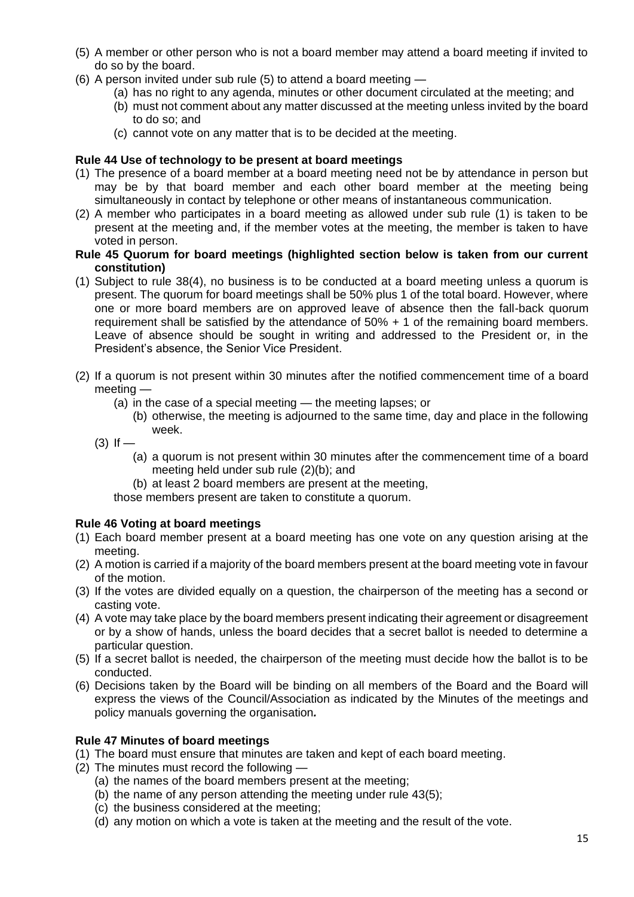- (5) A member or other person who is not a board member may attend a board meeting if invited to do so by the board.
- (6) A person invited under sub rule (5) to attend a board meeting
	- (a) has no right to any agenda, minutes or other document circulated at the meeting; and
	- (b) must not comment about any matter discussed at the meeting unless invited by the board to do so; and
	- (c) cannot vote on any matter that is to be decided at the meeting.

### **Rule 44 Use of technology to be present at board meetings**

- (1) The presence of a board member at a board meeting need not be by attendance in person but may be by that board member and each other board member at the meeting being simultaneously in contact by telephone or other means of instantaneous communication.
- (2) A member who participates in a board meeting as allowed under sub rule (1) is taken to be present at the meeting and, if the member votes at the meeting, the member is taken to have voted in person.

### **Rule 45 Quorum for board meetings (highlighted section below is taken from our current constitution)**

- (1) Subject to rule 38(4), no business is to be conducted at a board meeting unless a quorum is present. The quorum for board meetings shall be 50% plus 1 of the total board. However, where one or more board members are on approved leave of absence then the fall-back quorum requirement shall be satisfied by the attendance of 50% + 1 of the remaining board members. Leave of absence should be sought in writing and addressed to the President or, in the President's absence, the Senior Vice President.
- (2) If a quorum is not present within 30 minutes after the notified commencement time of a board meeting —
	- (a) in the case of a special meeting the meeting lapses; or
		- (b) otherwise, the meeting is adjourned to the same time, day and place in the following week.
	- $(3)$  If  $-$ 
		- (a) a quorum is not present within 30 minutes after the commencement time of a board meeting held under sub rule (2)(b); and
		- (b) at least 2 board members are present at the meeting,

those members present are taken to constitute a quorum.

### **Rule 46 Voting at board meetings**

- (1) Each board member present at a board meeting has one vote on any question arising at the meeting.
- (2) A motion is carried if a majority of the board members present at the board meeting vote in favour of the motion.
- (3) If the votes are divided equally on a question, the chairperson of the meeting has a second or casting vote.
- (4) A vote may take place by the board members present indicating their agreement or disagreement or by a show of hands, unless the board decides that a secret ballot is needed to determine a particular question.
- (5) If a secret ballot is needed, the chairperson of the meeting must decide how the ballot is to be conducted.
- (6) Decisions taken by the Board will be binding on all members of the Board and the Board will express the views of the Council/Association as indicated by the Minutes of the meetings and policy manuals governing the organisation*.*

# **Rule 47 Minutes of board meetings**

- (1) The board must ensure that minutes are taken and kept of each board meeting.
- (2) The minutes must record the following
	- (a) the names of the board members present at the meeting;
	- (b) the name of any person attending the meeting under rule 43(5);
	- (c) the business considered at the meeting;
	- (d) any motion on which a vote is taken at the meeting and the result of the vote.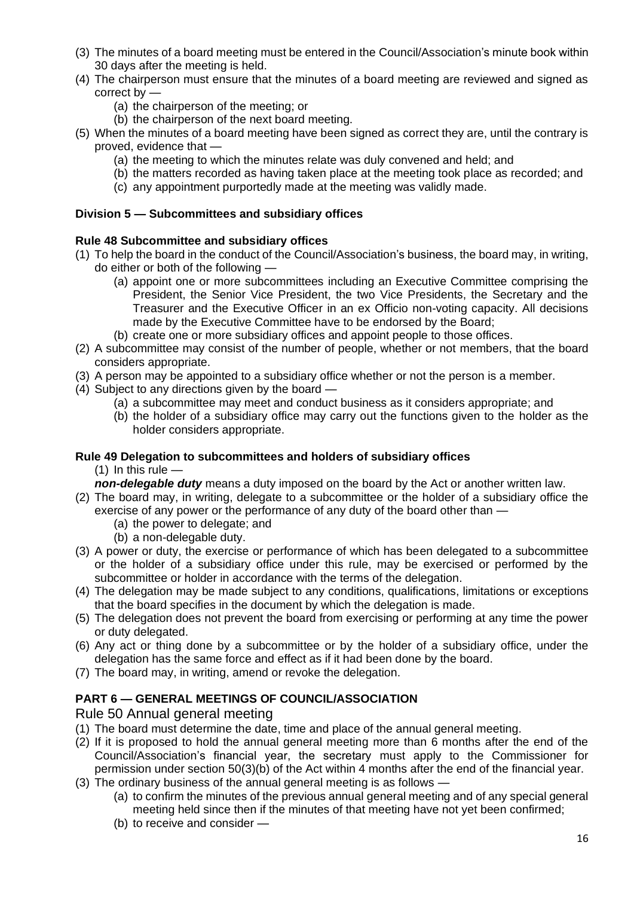- (3) The minutes of a board meeting must be entered in the Council/Association's minute book within 30 days after the meeting is held.
- (4) The chairperson must ensure that the minutes of a board meeting are reviewed and signed as correct by —
	- (a) the chairperson of the meeting; or
	- (b) the chairperson of the next board meeting.
- (5) When the minutes of a board meeting have been signed as correct they are, until the contrary is proved, evidence that —
	- (a) the meeting to which the minutes relate was duly convened and held; and
	- (b) the matters recorded as having taken place at the meeting took place as recorded; and
	- (c) any appointment purportedly made at the meeting was validly made.

## **Division 5 — Subcommittees and subsidiary offices**

### **Rule 48 Subcommittee and subsidiary offices**

- (1) To help the board in the conduct of the Council/Association's business, the board may, in writing, do either or both of the following —
	- (a) appoint one or more subcommittees including an Executive Committee comprising the President, the Senior Vice President, the two Vice Presidents, the Secretary and the Treasurer and the Executive Officer in an ex Officio non-voting capacity. All decisions made by the Executive Committee have to be endorsed by the Board;
	- (b) create one or more subsidiary offices and appoint people to those offices.
- (2) A subcommittee may consist of the number of people, whether or not members, that the board considers appropriate.
- (3) A person may be appointed to a subsidiary office whether or not the person is a member.
- (4) Subject to any directions given by the board
	- (a) a subcommittee may meet and conduct business as it considers appropriate; and
	- (b) the holder of a subsidiary office may carry out the functions given to the holder as the holder considers appropriate.

### **Rule 49 Delegation to subcommittees and holders of subsidiary offices**

 $(1)$  In this rule  $-$ 

- *non-delegable duty* means a duty imposed on the board by the Act or another written law.
- (2) The board may, in writing, delegate to a subcommittee or the holder of a subsidiary office the exercise of any power or the performance of any duty of the board other than —
	- (a) the power to delegate; and
	- (b) a non-delegable duty.
- (3) A power or duty, the exercise or performance of which has been delegated to a subcommittee or the holder of a subsidiary office under this rule, may be exercised or performed by the subcommittee or holder in accordance with the terms of the delegation.
- (4) The delegation may be made subject to any conditions, qualifications, limitations or exceptions that the board specifies in the document by which the delegation is made.
- (5) The delegation does not prevent the board from exercising or performing at any time the power or duty delegated.
- (6) Any act or thing done by a subcommittee or by the holder of a subsidiary office, under the delegation has the same force and effect as if it had been done by the board.
- (7) The board may, in writing, amend or revoke the delegation.

# **PART 6 — GENERAL MEETINGS OF COUNCIL/ASSOCIATION**

# Rule 50 Annual general meeting

- (1) The board must determine the date, time and place of the annual general meeting.
- (2) If it is proposed to hold the annual general meeting more than 6 months after the end of the Council/Association's financial year, the secretary must apply to the Commissioner for permission under section 50(3)(b) of the Act within 4 months after the end of the financial year.
- (3) The ordinary business of the annual general meeting is as follows
	- (a) to confirm the minutes of the previous annual general meeting and of any special general meeting held since then if the minutes of that meeting have not yet been confirmed;
	- (b) to receive and consider —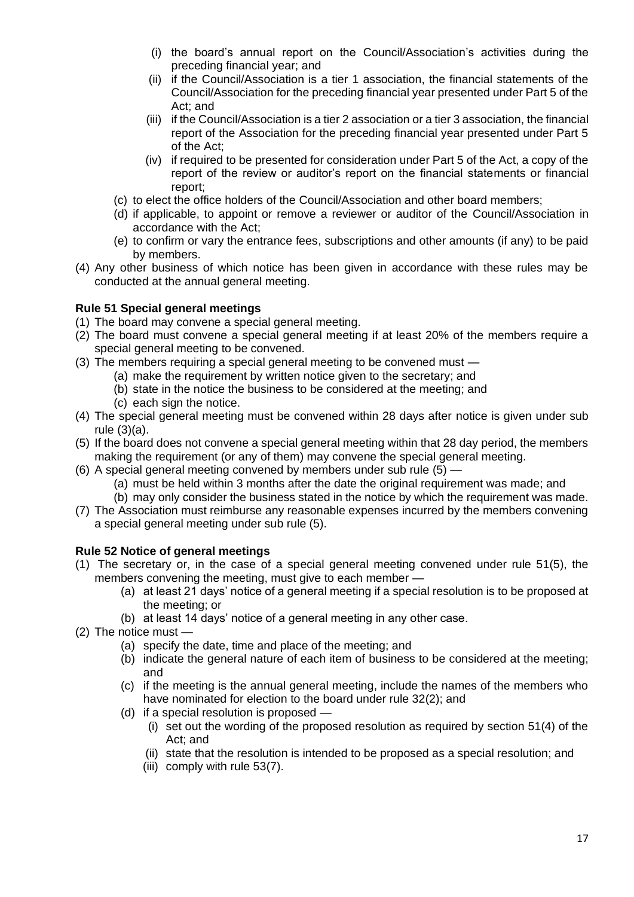- (i) the board's annual report on the Council/Association's activities during the preceding financial year; and
- (ii) if the Council/Association is a tier 1 association, the financial statements of the Council/Association for the preceding financial year presented under Part 5 of the Act; and
- (iii) if the Council/Association is a tier 2 association or a tier 3 association, the financial report of the Association for the preceding financial year presented under Part 5 of the Act;
- (iv) if required to be presented for consideration under Part 5 of the Act, a copy of the report of the review or auditor's report on the financial statements or financial report;
- (c) to elect the office holders of the Council/Association and other board members;
- (d) if applicable, to appoint or remove a reviewer or auditor of the Council/Association in accordance with the Act;
- (e) to confirm or vary the entrance fees, subscriptions and other amounts (if any) to be paid by members.
- (4) Any other business of which notice has been given in accordance with these rules may be conducted at the annual general meeting.

### **Rule 51 Special general meetings**

- (1) The board may convene a special general meeting.
- (2) The board must convene a special general meeting if at least 20% of the members require a special general meeting to be convened.
- (3) The members requiring a special general meeting to be convened must
	- (a) make the requirement by written notice given to the secretary; and
	- (b) state in the notice the business to be considered at the meeting; and
	- (c) each sign the notice.
- (4) The special general meeting must be convened within 28 days after notice is given under sub rule (3)(a).
- (5) If the board does not convene a special general meeting within that 28 day period, the members making the requirement (or any of them) may convene the special general meeting.
- (6) A special general meeting convened by members under sub rule (5)
	- (a) must be held within 3 months after the date the original requirement was made; and
	- (b) may only consider the business stated in the notice by which the requirement was made.
- (7) The Association must reimburse any reasonable expenses incurred by the members convening a special general meeting under sub rule (5).

### **Rule 52 Notice of general meetings**

- (1) The secretary or, in the case of a special general meeting convened under rule 51(5), the members convening the meeting, must give to each member —
	- (a) at least 21 days' notice of a general meeting if a special resolution is to be proposed at the meeting; or
	- (b) at least 14 days' notice of a general meeting in any other case.
- (2) The notice must
	- (a) specify the date, time and place of the meeting; and
	- (b) indicate the general nature of each item of business to be considered at the meeting; and
	- (c) if the meeting is the annual general meeting, include the names of the members who have nominated for election to the board under rule 32(2); and
	- (d) if a special resolution is proposed
		- (i) set out the wording of the proposed resolution as required by section 51(4) of the Act; and
		- (ii) state that the resolution is intended to be proposed as a special resolution; and
		- (iii) comply with rule 53(7).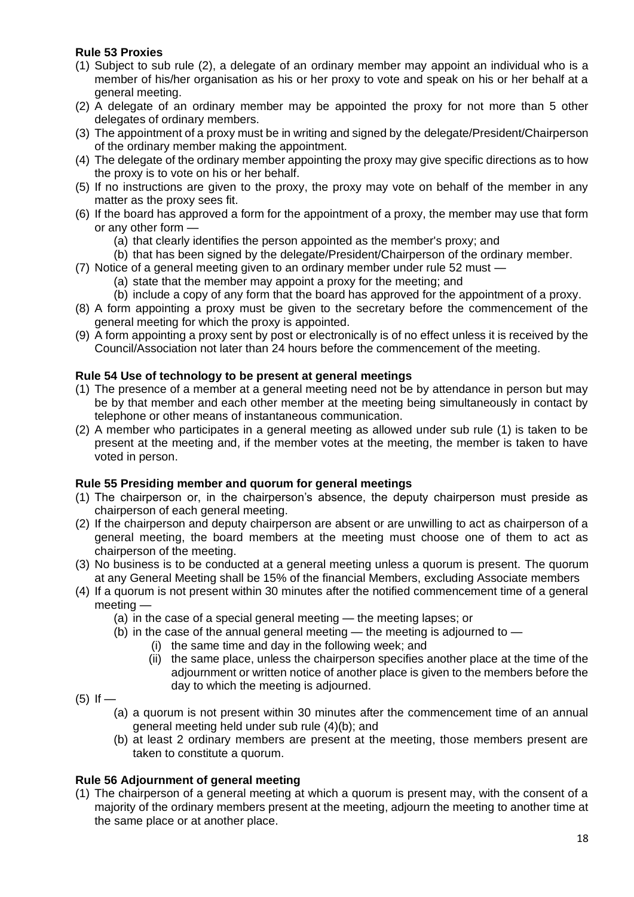# **Rule 53 Proxies**

- (1) Subject to sub rule (2), a delegate of an ordinary member may appoint an individual who is a member of his/her organisation as his or her proxy to vote and speak on his or her behalf at a general meeting.
- (2) A delegate of an ordinary member may be appointed the proxy for not more than 5 other delegates of ordinary members.
- (3) The appointment of a proxy must be in writing and signed by the delegate/President/Chairperson of the ordinary member making the appointment.
- (4) The delegate of the ordinary member appointing the proxy may give specific directions as to how the proxy is to vote on his or her behalf.
- (5) If no instructions are given to the proxy, the proxy may vote on behalf of the member in any matter as the proxy sees fit.
- (6) If the board has approved a form for the appointment of a proxy, the member may use that form or any other form —
	- (a) that clearly identifies the person appointed as the member's proxy; and
	- (b) that has been signed by the delegate/President/Chairperson of the ordinary member.
- (7) Notice of a general meeting given to an ordinary member under rule 52 must
	- (a) state that the member may appoint a proxy for the meeting; and
	- (b) include a copy of any form that the board has approved for the appointment of a proxy.
- (8) A form appointing a proxy must be given to the secretary before the commencement of the general meeting for which the proxy is appointed.
- (9) A form appointing a proxy sent by post or electronically is of no effect unless it is received by the Council/Association not later than 24 hours before the commencement of the meeting.

### **Rule 54 Use of technology to be present at general meetings**

- (1) The presence of a member at a general meeting need not be by attendance in person but may be by that member and each other member at the meeting being simultaneously in contact by telephone or other means of instantaneous communication.
- (2) A member who participates in a general meeting as allowed under sub rule (1) is taken to be present at the meeting and, if the member votes at the meeting, the member is taken to have voted in person.

#### **Rule 55 Presiding member and quorum for general meetings**

- (1) The chairperson or, in the chairperson's absence, the deputy chairperson must preside as chairperson of each general meeting.
- (2) If the chairperson and deputy chairperson are absent or are unwilling to act as chairperson of a general meeting, the board members at the meeting must choose one of them to act as chairperson of the meeting.
- (3) No business is to be conducted at a general meeting unless a quorum is present. The quorum at any General Meeting shall be 15% of the financial Members, excluding Associate members
- (4) If a quorum is not present within 30 minutes after the notified commencement time of a general meeting —
	- (a) in the case of a special general meeting the meeting lapses; or
	- (b) in the case of the annual general meeting the meeting is adjourned to
		- (i) the same time and day in the following week; and
		- (ii) the same place, unless the chairperson specifies another place at the time of the adjournment or written notice of another place is given to the members before the day to which the meeting is adjourned.
- $(5)$  If
	- (a) a quorum is not present within 30 minutes after the commencement time of an annual general meeting held under sub rule (4)(b); and
	- (b) at least 2 ordinary members are present at the meeting, those members present are taken to constitute a quorum.

### **Rule 56 Adjournment of general meeting**

(1) The chairperson of a general meeting at which a quorum is present may, with the consent of a majority of the ordinary members present at the meeting, adjourn the meeting to another time at the same place or at another place.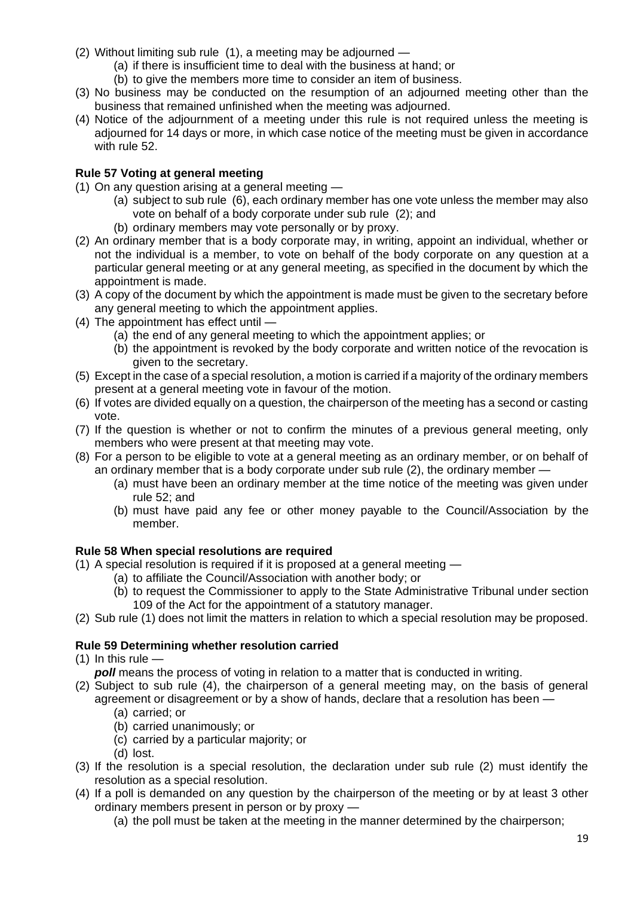- (2) Without limiting sub rule (1), a meeting may be adjourned
	- (a) if there is insufficient time to deal with the business at hand; or
	- (b) to give the members more time to consider an item of business.
- (3) No business may be conducted on the resumption of an adjourned meeting other than the business that remained unfinished when the meeting was adjourned.
- (4) Notice of the adjournment of a meeting under this rule is not required unless the meeting is adjourned for 14 days or more, in which case notice of the meeting must be given in accordance with rule 52.

## **Rule 57 Voting at general meeting**

- (1) On any question arising at a general meeting
	- (a) subject to sub rule (6), each ordinary member has one vote unless the member may also vote on behalf of a body corporate under sub rule (2); and
	- (b) ordinary members may vote personally or by proxy.
- (2) An ordinary member that is a body corporate may, in writing, appoint an individual, whether or not the individual is a member, to vote on behalf of the body corporate on any question at a particular general meeting or at any general meeting, as specified in the document by which the appointment is made.
- (3) A copy of the document by which the appointment is made must be given to the secretary before any general meeting to which the appointment applies.
- (4) The appointment has effect until
	- (a) the end of any general meeting to which the appointment applies; or
	- (b) the appointment is revoked by the body corporate and written notice of the revocation is given to the secretary.
- (5) Except in the case of a special resolution, a motion is carried if a majority of the ordinary members present at a general meeting vote in favour of the motion.
- (6) If votes are divided equally on a question, the chairperson of the meeting has a second or casting vote.
- (7) If the question is whether or not to confirm the minutes of a previous general meeting, only members who were present at that meeting may vote.
- (8) For a person to be eligible to vote at a general meeting as an ordinary member, or on behalf of an ordinary member that is a body corporate under sub rule (2), the ordinary member —
	- (a) must have been an ordinary member at the time notice of the meeting was given under rule 52; and
	- (b) must have paid any fee or other money payable to the Council/Association by the member.

### **Rule 58 When special resolutions are required**

- (1) A special resolution is required if it is proposed at a general meeting
	- (a) to affiliate the Council/Association with another body; or
	- (b) to request the Commissioner to apply to the State Administrative Tribunal under section 109 of the Act for the appointment of a statutory manager.
- (2) Sub rule (1) does not limit the matters in relation to which a special resolution may be proposed.

### **Rule 59 Determining whether resolution carried**

- (1) In this rule  $$ 
	- *poll* means the process of voting in relation to a matter that is conducted in writing.
- (2) Subject to sub rule (4), the chairperson of a general meeting may, on the basis of general agreement or disagreement or by a show of hands, declare that a resolution has been —
	- (a) carried; or
	- (b) carried unanimously; or
	- (c) carried by a particular majority; or
	- (d) lost.
- (3) If the resolution is a special resolution, the declaration under sub rule (2) must identify the resolution as a special resolution.
- (4) If a poll is demanded on any question by the chairperson of the meeting or by at least 3 other ordinary members present in person or by proxy —
	- (a) the poll must be taken at the meeting in the manner determined by the chairperson;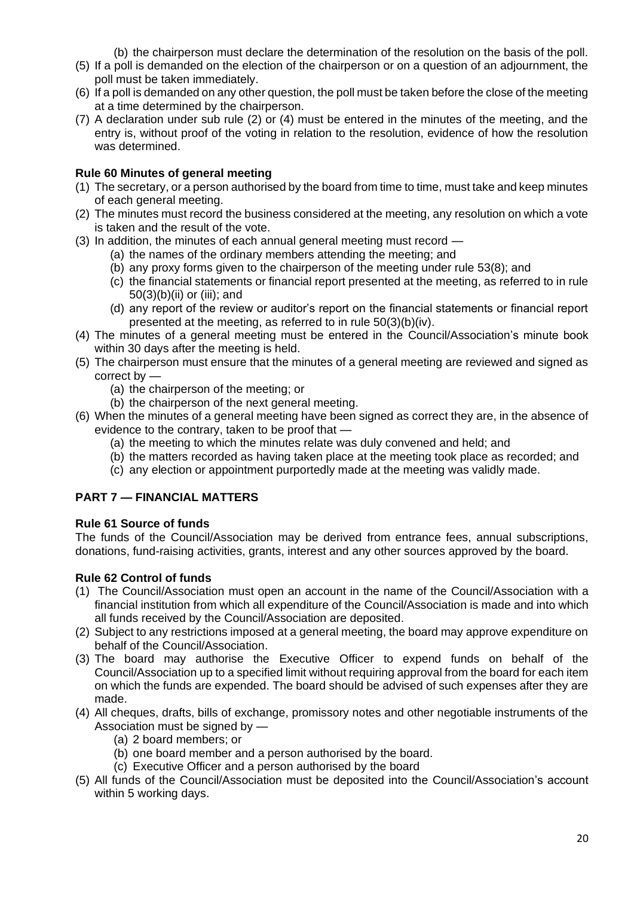(b) the chairperson must declare the determination of the resolution on the basis of the poll.

- (5) If a poll is demanded on the election of the chairperson or on a question of an adjournment, the poll must be taken immediately.
- (6) If a poll is demanded on any other question, the poll must be taken before the close of the meeting at a time determined by the chairperson.
- (7) A declaration under sub rule (2) or (4) must be entered in the minutes of the meeting, and the entry is, without proof of the voting in relation to the resolution, evidence of how the resolution was determined.

## **Rule 60 Minutes of general meeting**

- (1) The secretary, or a person authorised by the board from time to time, must take and keep minutes of each general meeting.
- (2) The minutes must record the business considered at the meeting, any resolution on which a vote is taken and the result of the vote.
- (3) In addition, the minutes of each annual general meeting must record
	- (a) the names of the ordinary members attending the meeting; and
	- (b) any proxy forms given to the chairperson of the meeting under rule 53(8); and
	- (c) the financial statements or financial report presented at the meeting, as referred to in rule 50(3)(b)(ii) or (iii); and
	- (d) any report of the review or auditor's report on the financial statements or financial report presented at the meeting, as referred to in rule 50(3)(b)(iv).
- (4) The minutes of a general meeting must be entered in the Council/Association's minute book within 30 days after the meeting is held.
- (5) The chairperson must ensure that the minutes of a general meeting are reviewed and signed as correct by —
	- (a) the chairperson of the meeting; or
	- (b) the chairperson of the next general meeting.
- (6) When the minutes of a general meeting have been signed as correct they are, in the absence of evidence to the contrary, taken to be proof that —
	- (a) the meeting to which the minutes relate was duly convened and held; and
	- (b) the matters recorded as having taken place at the meeting took place as recorded; and
	- (c) any election or appointment purportedly made at the meeting was validly made.

# **PART 7 — FINANCIAL MATTERS**

### **Rule 61 Source of funds**

The funds of the Council/Association may be derived from entrance fees, annual subscriptions, donations, fund-raising activities, grants, interest and any other sources approved by the board.

# **Rule 62 Control of funds**

- (1) The Council/Association must open an account in the name of the Council/Association with a financial institution from which all expenditure of the Council/Association is made and into which all funds received by the Council/Association are deposited.
- (2) Subject to any restrictions imposed at a general meeting, the board may approve expenditure on behalf of the Council/Association.
- (3) The board may authorise the Executive Officer to expend funds on behalf of the Council/Association up to a specified limit without requiring approval from the board for each item on which the funds are expended. The board should be advised of such expenses after they are made.
- (4) All cheques, drafts, bills of exchange, promissory notes and other negotiable instruments of the Association must be signed by —
	- (a) 2 board members; or
	- (b) one board member and a person authorised by the board.
	- (c) Executive Officer and a person authorised by the board
- (5) All funds of the Council/Association must be deposited into the Council/Association's account within 5 working days.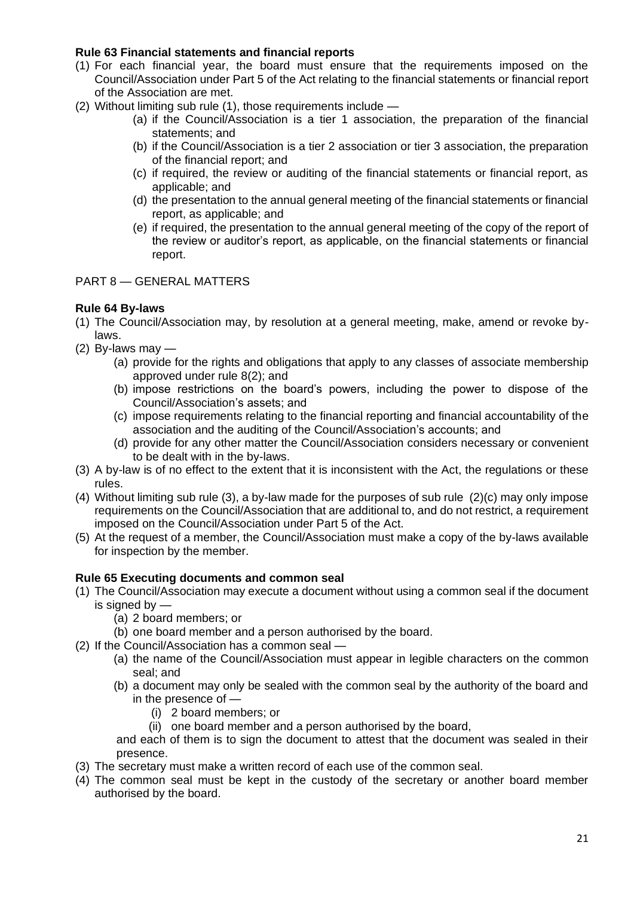## **Rule 63 Financial statements and financial reports**

- (1) For each financial year, the board must ensure that the requirements imposed on the Council/Association under Part 5 of the Act relating to the financial statements or financial report of the Association are met.
- (2) Without limiting sub rule (1), those requirements include
	- (a) if the Council/Association is a tier 1 association, the preparation of the financial statements; and
	- (b) if the Council/Association is a tier 2 association or tier 3 association, the preparation of the financial report; and
	- (c) if required, the review or auditing of the financial statements or financial report, as applicable; and
	- (d) the presentation to the annual general meeting of the financial statements or financial report, as applicable; and
	- (e) if required, the presentation to the annual general meeting of the copy of the report of the review or auditor's report, as applicable, on the financial statements or financial report.

### PART 8 — GENERAL MATTERS

## **Rule 64 By-laws**

- (1) The Council/Association may, by resolution at a general meeting, make, amend or revoke bylaws.
- (2) By-laws may  $-$ 
	- (a) provide for the rights and obligations that apply to any classes of associate membership approved under rule 8(2); and
	- (b) impose restrictions on the board's powers, including the power to dispose of the Council/Association's assets; and
	- (c) impose requirements relating to the financial reporting and financial accountability of the association and the auditing of the Council/Association's accounts; and
	- (d) provide for any other matter the Council/Association considers necessary or convenient to be dealt with in the by-laws.
- (3) A by-law is of no effect to the extent that it is inconsistent with the Act, the regulations or these rules.
- (4) Without limiting sub rule (3), a by-law made for the purposes of sub rule (2)(c) may only impose requirements on the Council/Association that are additional to, and do not restrict, a requirement imposed on the Council/Association under Part 5 of the Act.
- (5) At the request of a member, the Council/Association must make a copy of the by-laws available for inspection by the member.

### **Rule 65 Executing documents and common seal**

- (1) The Council/Association may execute a document without using a common seal if the document is signed by —
	- (a) 2 board members; or
	- (b) one board member and a person authorised by the board.
- (2) If the Council/Association has a common seal
	- (a) the name of the Council/Association must appear in legible characters on the common seal; and
	- (b) a document may only be sealed with the common seal by the authority of the board and in the presence of —
		- (i) 2 board members; or
		- (ii) one board member and a person authorised by the board,

and each of them is to sign the document to attest that the document was sealed in their presence.

- (3) The secretary must make a written record of each use of the common seal.
- (4) The common seal must be kept in the custody of the secretary or another board member authorised by the board.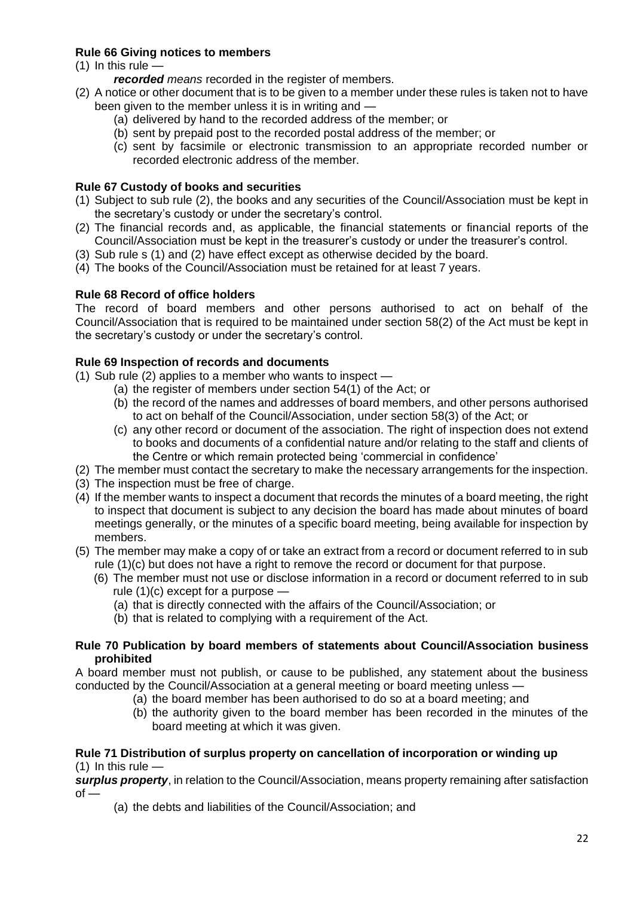# **Rule 66 Giving notices to members**

- $(1)$  In this rule  $$ 
	- *recorded means* recorded in the register of members.
- (2) A notice or other document that is to be given to a member under these rules is taken not to have been given to the member unless it is in writing and —
	- (a) delivered by hand to the recorded address of the member; or
	- (b) sent by prepaid post to the recorded postal address of the member; or
	- (c) sent by facsimile or electronic transmission to an appropriate recorded number or recorded electronic address of the member.

## **Rule 67 Custody of books and securities**

- (1) Subject to sub rule (2), the books and any securities of the Council/Association must be kept in the secretary's custody or under the secretary's control.
- (2) The financial records and, as applicable, the financial statements or financial reports of the Council/Association must be kept in the treasurer's custody or under the treasurer's control.
- (3) Sub rule s (1) and (2) have effect except as otherwise decided by the board.
- (4) The books of the Council/Association must be retained for at least 7 years.

# **Rule 68 Record of office holders**

The record of board members and other persons authorised to act on behalf of the Council/Association that is required to be maintained under section 58(2) of the Act must be kept in the secretary's custody or under the secretary's control.

## **Rule 69 Inspection of records and documents**

- (1) Sub rule (2) applies to a member who wants to inspect
	- (a) the register of members under section 54(1) of the Act; or
	- (b) the record of the names and addresses of board members, and other persons authorised to act on behalf of the Council/Association, under section 58(3) of the Act; or
	- (c) any other record or document of the association. The right of inspection does not extend to books and documents of a confidential nature and/or relating to the staff and clients of the Centre or which remain protected being 'commercial in confidence'
- (2) The member must contact the secretary to make the necessary arrangements for the inspection.
- (3) The inspection must be free of charge.
- (4) If the member wants to inspect a document that records the minutes of a board meeting, the right to inspect that document is subject to any decision the board has made about minutes of board meetings generally, or the minutes of a specific board meeting, being available for inspection by members.
- (5) The member may make a copy of or take an extract from a record or document referred to in sub rule (1)(c) but does not have a right to remove the record or document for that purpose.
	- (6) The member must not use or disclose information in a record or document referred to in sub rule (1)(c) except for a purpose —
		- (a) that is directly connected with the affairs of the Council/Association; or
		- (b) that is related to complying with a requirement of the Act.

## **Rule 70 Publication by board members of statements about Council/Association business prohibited**

A board member must not publish, or cause to be published, any statement about the business conducted by the Council/Association at a general meeting or board meeting unless —

- (a) the board member has been authorised to do so at a board meeting; and
- (b) the authority given to the board member has been recorded in the minutes of the board meeting at which it was given.

#### **Rule 71 Distribution of surplus property on cancellation of incorporation or winding up** (1) In this rule  $-$

*surplus property*, in relation to the Council/Association, means property remaining after satisfaction  $of -$ 

(a) the debts and liabilities of the Council/Association; and